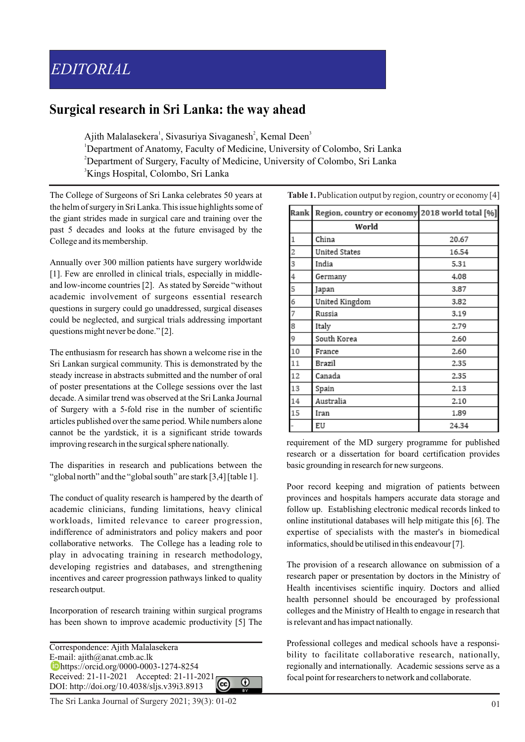## **Surgical research in Sri Lanka: the way ahead**

Ajith Malalasekera<sup>1</sup>, Sivasuriya Sivaganesh<sup>2</sup>, Kemal Deen<sup>3</sup>

<sup>1</sup>Department of Anatomy, Faculty of Medicine, University of Colombo, Sri Lanka

<sup>2</sup>Department of Surgery, Faculty of Medicine, University of Colombo, Sri Lanka

<sup>3</sup>Kings Hospital, Colombo, Sri Lanka

The College of Surgeons of Sri Lanka celebrates 50 years at the helm of surgery in Sri Lanka. This issue highlights some of the giant strides made in surgical care and training over the past 5 decades and looks at the future envisaged by the College and its membership.

Annually over 300 million patients have surgery worldwide [1]. Few are enrolled in clinical trials, especially in middleand low-income countries [2]. As stated by Søreide "without academic involvement of surgeons essential research questions in surgery could go unaddressed, surgical diseases could be neglected, and surgical trials addressing important questions might never be done." [2].

The enthusiasm for research has shown a welcome rise in the Sri Lankan surgical community. This is demonstrated by the steady increase in abstracts submitted and the number of oral of poster presentations at the College sessions over the last decade. Asimilar trend was observed at the Sri Lanka Journal of Surgery with a 5-fold rise in the number of scientific articles published over the same period. While numbers alone cannot be the yardstick, it is a significant stride towards improving research in the surgical sphere nationally.

The disparities in research and publications between the "global north" and the "global south" are stark [3,4] [table 1].

The conduct of quality research is hampered by the dearth of academic clinicians, funding limitations, heavy clinical workloads, limited relevance to career progression, indifference of administrators and policy makers and poor collaborative networks. The College has a leading role to play in advocating training in research methodology, developing registries and databases, and strengthening incentives and career progression pathways linked to quality research output.

Incorporation of research training within surgical programs has been shown to improve academic productivity [5] The

Correspondence: Ajith Malalasekera E-mail: ajith@anat.cmb.ac.lk https://orcid.org/0000-0003-1274-8254 Received: 21-11-2021 Accepted: 21-11-2021  $\Omega$ DOI: http://doi.org/10.4038/sljs.v39i3.8913

The Sri Lanka Journal of Surgery 2021; 39(3): 01-02 01

**Table 1.** Publication output by region, country or economy [4]

| Rank           | Region, country or economy 2018 world total [%] |       |
|----------------|-------------------------------------------------|-------|
|                | World                                           |       |
| $\mathbf{1}$   | China                                           | 20.67 |
| $\overline{a}$ | United States                                   | 16.54 |
| 3              | India                                           | 5.31  |
| 4              | Germany                                         | 4.08  |
| 5              | Japan                                           | 3.87  |
| 6              | United Kingdom                                  | 3.82  |
| 7              | Russia                                          | 3.19  |
| 8              | Italy                                           | 2.79  |
| 9              | South Korea                                     | 2.60  |
| 10             | France                                          | 2.60  |
| 11             | Brazil                                          | 2.35  |
| 12             | Canada                                          | 2.35  |
| 13             | Spain                                           | 2.13  |
| 14             | Australia                                       | 2.10  |
| 15             | Iran                                            | 1.89  |
|                | EU                                              | 24.34 |

requirement of the MD surgery programme for published research or a dissertation for board certification provides basic grounding in research for new surgeons.

Poor record keeping and migration of patients between provinces and hospitals hampers accurate data storage and follow up. Establishing electronic medical records linked to online institutional databases will help mitigate this [6]. The expertise of specialists with the master's in biomedical informatics, should be utilised in this endeavour [7].

The provision of a research allowance on submission of a research paper or presentation by doctors in the Ministry of Health incentivises scientific inquiry. Doctors and allied health personnel should be encouraged by professional colleges and the Ministry of Health to engage in research that is relevant and has impact nationally.

Professional colleges and medical schools have a responsibility to facilitate collaborative research, nationally, regionally and internationally. Academic sessions serve as a focal point for researchers to network and collaborate.